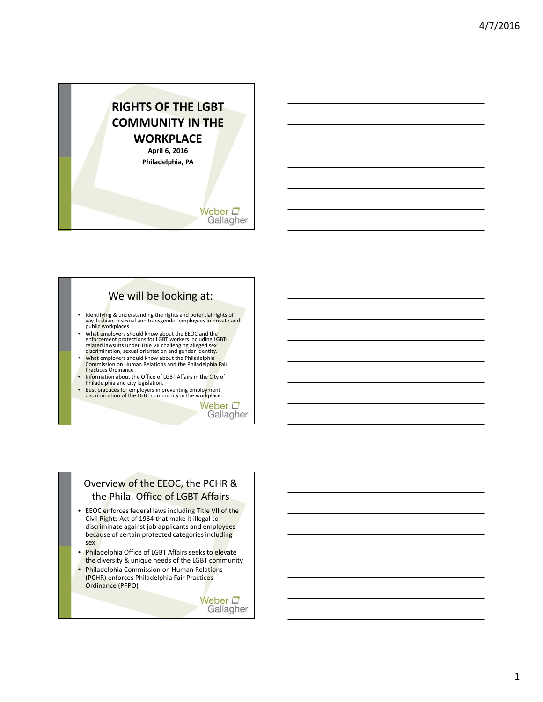

## We will be looking at:

- Identifying & understanding the rights and potential rights of<br>gay, lesbian, bisexual and transgender employees in private and<br>public workplaces.
- What employers should know about the EEOC and the<br>enforcement protections for LGBT workers including LGBT-<br>related lawsuits under Title VII challenging alleged sex<br>discrimination, sexual orientation and gender identity.
- What employers should know about the Philadelphia<br>Commission on Human Relations and the Philadelphia Fair<br>Practices Ordinance .
- Information about the Office of LGBT Affairs in the City of Philadelphia and city legislation.
- Best practices for employers in preventing employment discrimination of the LGBT community in the workplace.

Weber  $\square$ Gallagher

### Overview of the EEOC, the PCHR & the Phila. Office of LGBT Affairs

- EEOC enforces federal laws including Title VII of the Civil Rights Act of 1964 that make it illegal to discriminate against job applicants and employees because of certain protected categories including sex
- Philadelphia Office of LGBT Affairs seeks to elevate the diversity & unique needs of the LGBT community
- Philadelphia Commission on Human Relations (PCHR) enforces Philadelphia Fair Practices Ordinance (PFPO)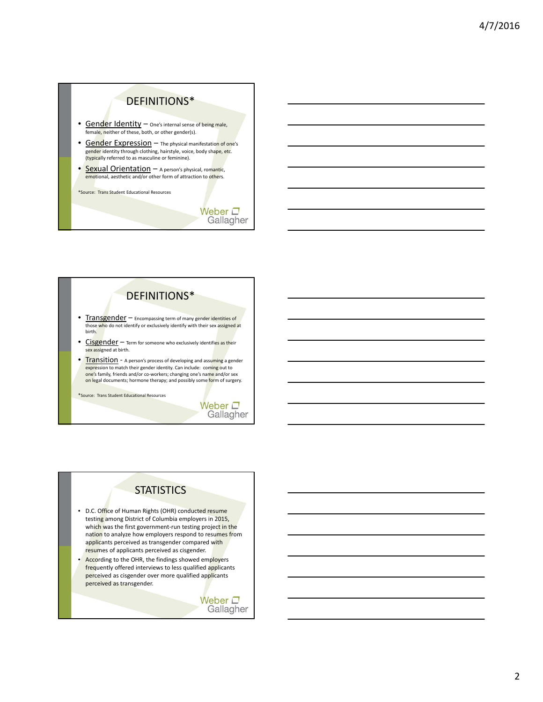# DEFINITIONS\*

- Gender Identity One's internal sense of being male, female, neither of these, both, or other gender(s).
- Gender Expression The physical manifestation of one's ge<mark>nder</mark> identity through clothing, hairstyle, voice, body shape, etc.<br>(<mark>typica</mark>lly referred to as masculine or feminine).
- Sexual Orientation A person's physical, romantic, emotional, aesthetic and/or other form of attraction to others.

\*Source: Trans Student Educational Resources

Weber  $\square$ Gallagher

# DEFINITIONS\*

- Transgender Encompassing term of many gender identities of those who do not identify or exclusively identify with their sex assigned at birth.
- Cisgender Term for someone who exclusively identifies as their sex assigned at birth.
- **Transition** A person's process of developing and assuming a gender expression to match their gender identity. Can include: coming out to one's family, friends and/or co-workers; changing one's name and/or sex on legal documents; hormone therapy; and possibly some form of surgery.

\*Source: Trans Student Educational Resources

#### Weber  $\square$ Gallagher

## **STATISTICS**

- D.C. Office of Human Rights (OHR) conducted resume testing among District of Columbia employers in 2015, which was the first government-run testing project in the nation to analyze how employers respond to resumes from applicants perceived as transgender compared with resumes of applicants perceived as cisgender.
- According to the OHR, the findings showed employers frequently offered interviews to less qualified applicants perceived as cisgender over more qualified applicants perceived as transgender.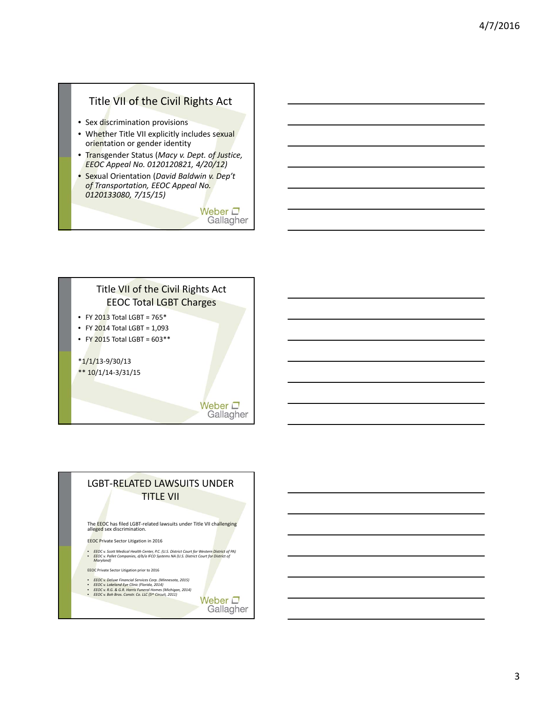## Title VII of the Civil Rights Act

- Sex discrimination provisions
- Whether Title VII explicitly includes sexual orientation or gender identity
- Transgender Status (*Macy v. Dept. of Justice, EEOC Appeal No. 0120120821, 4/20/12)*
- Sexual Orientation (*David Baldwin v. Dep't of Transportation, EEOC Appeal No. 0120133080, 7/15/15)*

Weber  $\square$ Gallagher

# Title VII of the Civil Rights Act EEOC Total LGBT Charges • FY 2013 Total LGBT =  $765*$ • FY 2014 Total LGBT =  $1,093$ • FY 2015 Total LGBT =  $603**$ \*1/1/13‐9/30/13 \*\* 10/1/14‐3/31/15

Weber  $\square$ Gallagher

## LGBT‐RELATED LAWSUITS UNDER TITLE VII

The EEOC has filed LGBT‐related lawsuits under Title VII challenging alleged sex discrimination.

EEOC Private Sector Litigation in 2016

- EEOC v. Scott Medical Health Center, P.C. (U.S. District Court for Western District of PA)<br>• EEOC v. Pallet Companies, d/b/a IFCO Systems NA (U.S. District Court for <mark>Distri</mark>ct of<br>Maryland)
- EEOC Private Sector Litigation prior to 2016
- 
- EEOC v. Deluxe Financial Services Corp. (Minnesota, 2015)<br>• EEOC v. Lakeland Eye Clinic (Florida, 2014)<br>• EEOC v. R.G. & G.R. Harris Funeral Homes (Michigan, 2014)<br>• EEOC v. Boh Bros. Constr. Co. LLC (5<sup>th</sup> Circuit, 2011
- 

Weber  $\square$ Gallagher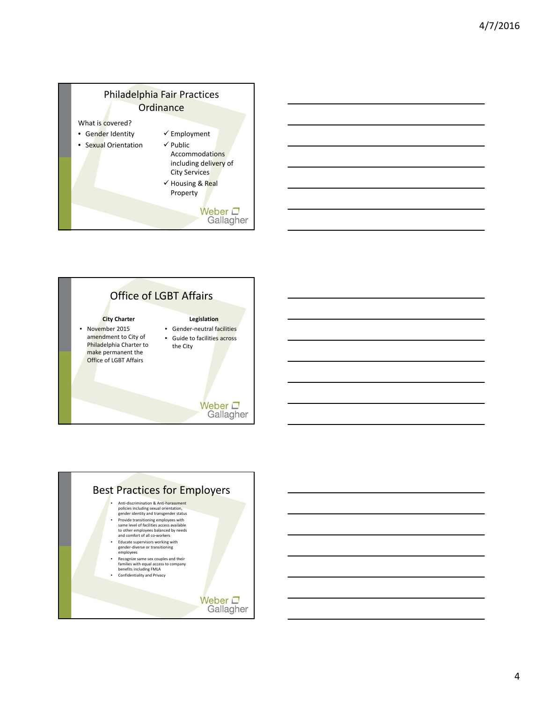